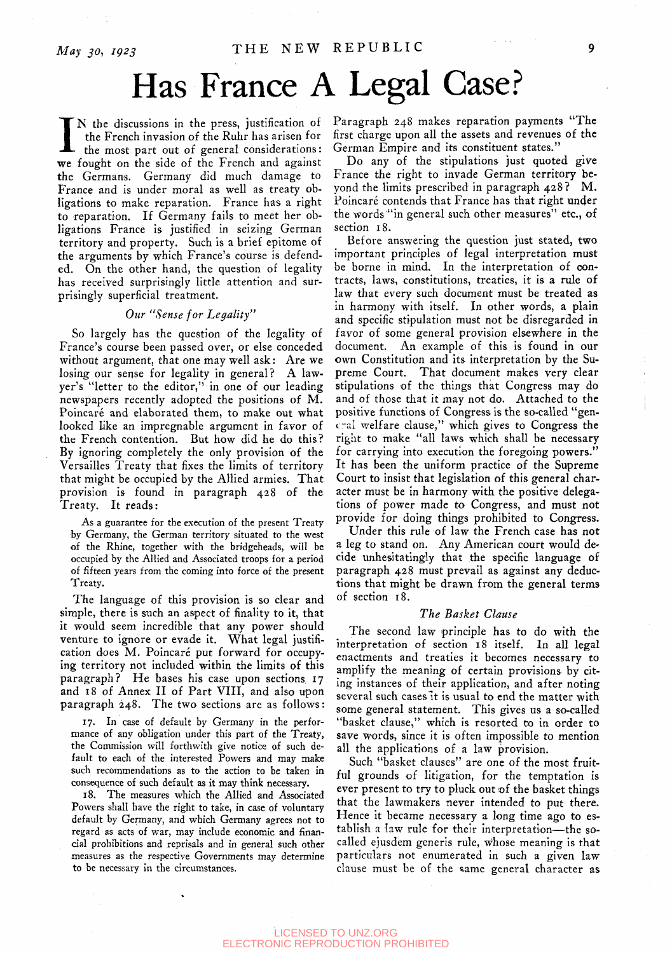# Has France A Legal Case?

IN the discussions in the press, justification of<br>the French invasion of the Ruhr has arisen for<br>the most part out of general considerations:<br>we fought on the side of the French and against the French invasion of the Ruhr has arisen for the most part out of general considerations: the Germans. Germany did much damage to France and is under moral as well as treaty obligations to make reparation. France has a right to reparation. If Germany fails to meet her obligations France is justified in seizing German territory and property. Such is a brief epitome of the arguments by which France's course is defended. On the other hand, the question of legality has received surprisingly little attention and surprisingly superficial treatment.

#### *Our "Sense for Legality"*

So largely has the question of the legality of France's course been passed over, or else conceded without argument, that one may well ask: Are we losing our sense for legality in general? A lawyer's "letter to the editor," in one of our leading newspapers recently adopted the positions of M. Poincaré and elaborated them, to make out what looked like an impregnable argument in favor of the French contention. But how did he do this? By ignoring completely the only provision of the Versailles Treaty that fixes the limits of territory that might be occupied by the Allied armies. That provision is found in paragraph 428 of the Treaty. It reads:

As a guarantee for the execution of the present Treaty by Germany, the German territory situated to the west of the Rhine, together with the bridgeheads, will be occupied by the Allied and Associated troops for a period of fifteen years from the coming into force of the present Treaty.

The language of this provision is so clear and simple, there is such an aspect of finality to it, that it would seem incredible that any power should venture to ignore or evade it. What legal justification does M. Poincaré put forward for occupying territory not included within the limits of this paragraph? He bases his case upon sections 17 and 18 of Annex II of Part VIII, and also upon paragraph 248. The two sections are as follows:

17. In case of default by Germany in the performance of any obligation under this part of the Treaty, the Commission will forthwith give notice of such default to each of the interested Powers and may make such recommendations as to the action to be taken in consequence of such default as it may think necessary.

18. The measures which the Allied and Associated Powers shall have the right to take, in case of voluntary default by Germany, and which Germany agrees not to regard as acts of war, may include economic and financial prohibitions and reprisals and in general such other measures as the respective Governments may determine to be necessary in the circumstances.

N the discussions in the press, justification of Paragraph 248 makes reparation payments "The first charge upon all the assets and revenues of the German Empire and its constituent states."

> Do any of the stipulations just quoted give France the right to invade German territory beyond the limits prescribed in paragraph 428? M. Poincaré contends that France has that right under the words "in general such other measures" etc., of section 18.

Before answering the question just stated, two important principles of legal interpretation must be borne in mind. In the interpretation of contracts, laws, constitutions, treaties, it is a rule of law that every such document must be treated as in harmony with itself. In other words, a plain and specific stipulation must not be disregarded in favor of some general provision elsewhere in the document. An example of this is found in our own Constitution and its interpretation by the Supreme Court. That document makes very clear stipulations of the things that Congress may do and of those that it may not do. Attached to the positive functions of Congress is the so-called "general welfare clause," which gives to Congress the right to make "all laws which shall be necessary for carrying into execution the foregoing powers." It has been the uniform practice of the Supreme Court to insist that legislation of this general character must be in harmony with the positive delegations of power made to Congress, and must not provide for doing things prohibited to Congress.

Under this rule of law the French case has not a leg to stand on. Any American court would decide unhesitatingly that the specific language of paragraph 428 must prevail as against any deductions that might be drawn from the general terms of section 18.

## *The Basket Clause*

The second law principle has to do with the interpretation of section 18 itself. In all legal enactments and treaties it becomes necessary to amplify the meaning of certain provisions by citing instances of their application, and after noting several such cases it is usual to end the matter with some general statement. This gives us a so-called "basket clause," which is resorted to in order to save words, since it is often impossible to mention all the applications of a law provision.

Such "basket clauses" are one of the most fruitful grounds of litigation, for the temptation is ever present to try to pluck out of the basket things that the lawmakers never intended to put there. Hence it became necessary a long time ago to establish a law rule for their interpretation—the socalled ejusdem generis rule, whose meaning is that particulars not enumerated in such a given law clause must be of the same general character as

LICENSED TO UNZ.ORG ELECTRONIC REPRODUCTION PROHIBITED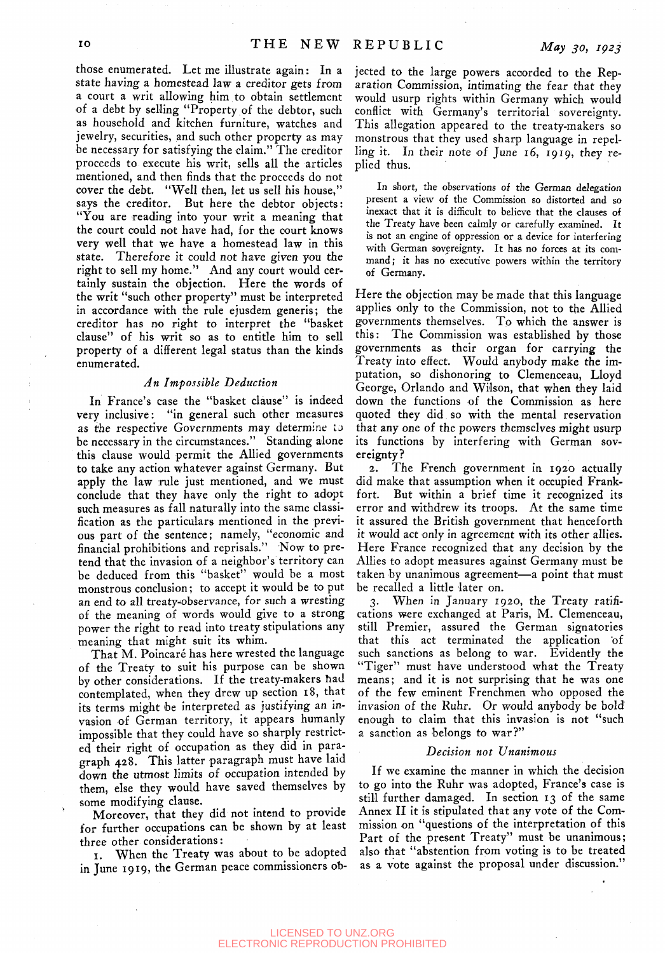those enumerated. Let me illustrate again: In a state having a homestead law a creditor gets from a court a writ allowing him to obtain settlement of a debt by selling "Property of the debtor, such as household and kitchen furniture, watches and jewelry, securities, and such other property as may be necessary for satisfying the claim." The creditor proceeds to execute his writ, sells all the articles mentioned, and then finds that the proceeds do not cover the debt. "Well then, let us sell his house," says the creditor. But here the debtor objects: "You are reading into your writ a meaning that the court could not have had, for the court knows very well that we have a homestead law in this state. Therefore it could not have given you the right to sell my home." And any court would certainly sustain the objection. Here the words of the writ "such other property" must be interpreted in accordance with the rule ejusdem generis; the creditor has no right to interpret the "basket clause" of his writ so as to entitle him to sell property of a different legal status than the kinds enumerated.

## *An Impossible Deduction*

In France's case the "basket clause" is indeed very inclusive: "in general such other measures as the respective Governments may determine to be necessary in the circumstances." Standing alone this clause would permit the Allied governments to take any action whatever against Germany. But apply the law rule just mentioned, and we must conclude that they have only the right to adopt such measures as fall naturally into the same classification as the particulars mentioned in the previous part of the sentence; namely, "economic and financial prohibitions and reprisals." Now to pretend that the invasion of a neighbor's territory can be deduced from this "basket" would be a most monstrous conclusion; to accept it would be to put an end to all treaty-observance, for such a wresting of the meaning of words would give to a strong power the right to read into treaty stipulations any meaning that might suit its whim.

That M. Poincaré has here wrested the language of the Treaty to suit his purpose can be shown by other considerations. If the treaty-makers had contemplated, when they drew up section 18, that its terms might be interpreted as justifying an invasion of German territory, it appears humanly impossible that they could have so sharply restricted their right of occupation as they did in paragraph 428. This latter paragraph must have laid down the utmost limits of occupation intended by them, else they would have saved themselves by some modifying clause.

Moreover, that they did not intend to provide for further occupations can be shown by at least three other considerations:

I. When the Treaty was about to be adopted in June 1919, the German peace commissioners ob-

jected to the large powers accorded to the Reparation Commission, intimating the fear that they would usurp rights within Germany which would conflict with Germany's territorial sovereignty. This allegation appeared to the treaty-makers so monstrous that they used sharp language in repelling it. In their note of June  $16$ , 1919, they replied thus.

In short, the observations of the German delegation present a view of the Commission so distorted and so inexact that it is difficult to believe that the clauses of the Treaty have been calmly or carefully examined. It is not an engine of oppression or a device for interfering with German sovereignty. It has no forces at its command; it has no executive powers within the territory of Germany.

Here the objection may be made that this language applies only to the Commission, not to the Allied governments themselves. To which the answer is this: The Commission was established by those governments as their organ for carrying the Treaty into effect. Would anybody make the imputation, so dishonoring to Clemenceau, Lloyd George, Orlando and Wilson, that when they laid down the functions of the Commission as here quoted they did so with the mental reservation that any one of the powers themselves might usurp its functions by interfering with German sovereignty?

2. The French government in 1920 actually did make that assumption when it occupied Frankfort. But within a brief time it recognized its error and withdrew its troops. At the same time it assured the British government that henceforth it would act only in agreement with its other allies. Here France recognized that any decision by the Allies to adopt measures against Germany must be taken by unanimous agreement—a point that must be recalled a little later on.

3. When in January 1920, the Treaty ratifications were exchanged at Paris, M. Clemenceau, still Premier, assured the German signatories that this act terminated the application of such sanctions as belong to war. Evidently the "Tiger" must have understood what the Treaty means; and it is not surprising that he was one of the few eminent Frenchmen who opposed the invasion of the Ruhr. Or would anybody be bold enough to claim that this Invasion is not "such a sanction as belongs to war?"

## *Decision not Unanimous*

If we examine the manner in which the decision to go into the Ruhr was adopted, France's case is still further damaged. In section 13 of the same Annex II it is stipulated that any vote of the Commission on "questions of the interpretation of this Part of the present Treaty" must be unanimous; also that "abstention from voting is to be treated as a vote against the proposal under discussion."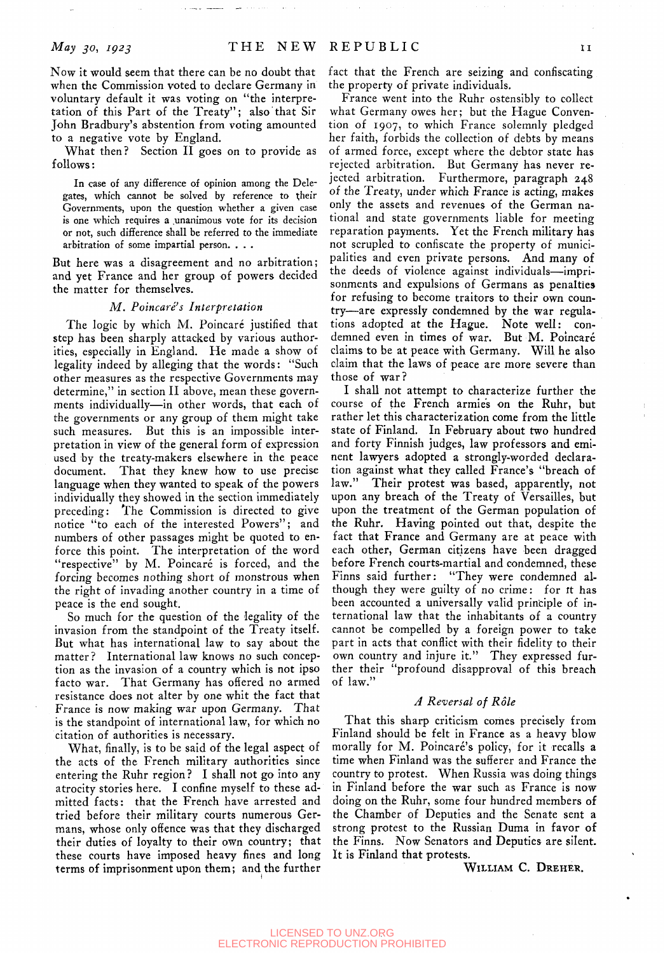Now it would seem that there can be no doubt that when the Commission voted to declare Germany in voluntary default it was voting on "the interpretation of this Part of the Treaty"; also that Sir John Bradbury's abstention from voting amounted to a negative vote by England.

What then? Section II goes on to provide as follows:

In case of any difference of opinion among the Delegates, which cannot be solved by reference to their Governments, upon the question whether a given case is one which requires a unanimous vote for its decision or not, such difference shall be referred to the immediate arbitration of some impartial person. , . .

But here was a disagreement and no arbitration; and yet France and her group of powers decided the matter for themselves.

#### *M. Poincare's Interpretation*

The logic by which M. Poincaré justified that step has been sharply attacked by various authorities, especially in England. He made a show of legality indeed by alleging that the words: "Such other measures as the respective Governments may determine," in section II above, mean these governments individually—in other words, that each of the governments or any group of them might take such measures. But this is an impossible interpretation in view of the general form of expression used by the treaty-makers elsewhere in the peace document. That they knew how to use precise language when they wanted to speak of the powers individually they showed in the section immediately preceding: The Commission is directed to give notice "to each of the interested Powers"; and numbers of other passages might be quoted to enforce this point. The interpretation of the word "respective" by M. Poincaré is forced, and the forcing becomes nothing short of monstrous when the right of invading another country in a time of peace is the end sought.

So much for the question of the legality of the invasion from the standpoint of the Treaty itself. But what has international law to say about the matter? International law knows no such conception as the invasion of a country which is not ipso facto war. That Germany has offered no armed resistance does not alter by one whit the fact that France is now making war upon Germany. That is the standpoint of international law, for which no citation of authorities is necessary.

What, finally, is to be said of the legal aspect of the acts of the French military authorities since entering the Ruhr region ? I shall not go into any atrocity stories here. I confine myself to these admitted facts: that the French have arrested and tried before their military courts numerous Germans, whose only offence was that they discharged their duties of loyalty to their own country; that these courts have imposed heavy fines and long terms of imprisonment upon them; and the further

fact that the French are seizing and confiscating the property of private individuals.

France went into the Ruhr ostensibly to collect what Germany owes her; but the Hague Convention of 1907, to which France solemnly pledged her faith, forbids the collection of debts by means of armed force, except where the debtor state has rejected arbitration. But Germany has never rejected arbitration. Furthermore, paragraph 248 of the Treaty, under which France is acting, makes only the assets and revenues of the German national and state governments liable for meeting reparation payments. Yet the French military has not scrupled to confiscate the property of municipalities and even private persons. And many of the deeds of violence against individuals—imprisonments and expulsions of Germans as penalties for refusing to become traitors to their own country—are expressly condemned by the war regulations adopted at the Hague. Note well: condemned even in times of war. But M. Poincaré claims to be at peace with Germany. Will he also claim that the laws of peace are more severe than those of war?

I shall not attempt to characterize further the course of the French armies on the Ruhr, but rather let this characterization come from the little state of Finland. In February about two hundred and forty Finnish judges, law professors and eminent lawyers adopted a strongly-worded declaration against what they called France's "breach of law." Their protest was based, apparently, not upon any breach of the Treaty of Versailles, but upon the treatment of the German population of the Ruhr. Having pointed out that, despite the fact that France and Germany are at peace with each other, German citizens have been dragged before French courts-martial and condemned, these Finns said further: "They were condemned although they were guilty of no crime: for it has been accounted a universally valid principle of international law that the inhabitants of a country cannot be compelled by a foreign power to take part in acts that conflict with their fidelity to their own country and injure it." They expressed further their "profound disapproval of this breach of law."

#### *A Reversal of Role*

That this sharp criticism comes precisely from Finland should be felt in France as a heavy blow morally for M. Poincaré's policy, for it recalls a time when Finland was the sufferer and France the country to protest. When Russia was doing things in Finland before the war such as France is now doing on the Ruhr, some four hundred members of the Chamber of Deputies and the Senate sent a strong protest to the Russian Duma in favor of the Finns. Now Senators and Deputies are silent. It is Finland that protests.

WILLIAM C. DREHER.